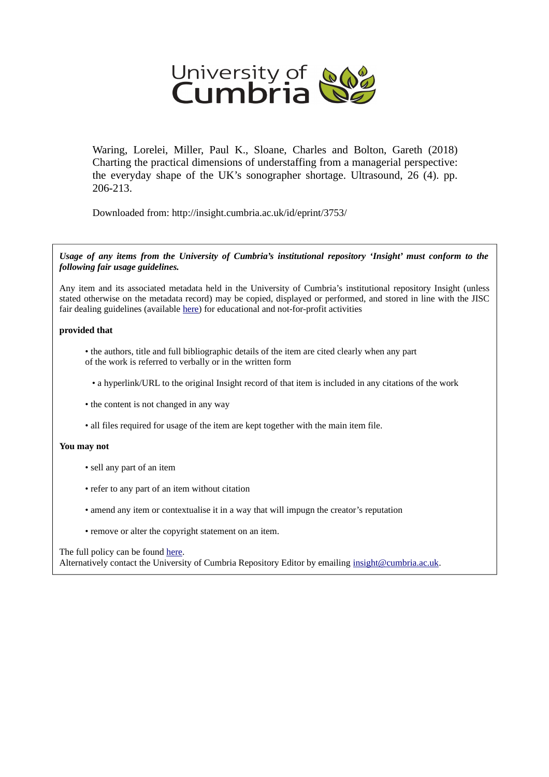

Waring, Lorelei, Miller, Paul K., Sloane, Charles and Bolton, Gareth (2018) Charting the practical dimensions of understaffing from a managerial perspective: the everyday shape of the UK's sonographer shortage. Ultrasound, 26 (4). pp. 206-213.

Downloaded from: http://insight.cumbria.ac.uk/id/eprint/3753/

*Usage of any items from the University of Cumbria's institutional repository 'Insight' must conform to the following fair usage guidelines.*

Any item and its associated metadata held in the University of Cumbria's institutional repository Insight (unless stated otherwise on the metadata record) may be copied, displayed or performed, and stored in line with the JISC fair dealing guidelines (available [here\)](http://www.ukoln.ac.uk/services/elib/papers/pa/fair/) for educational and not-for-profit activities

#### **provided that**

• the authors, title and full bibliographic details of the item are cited clearly when any part of the work is referred to verbally or in the written form

• a hyperlink/URL to the original Insight record of that item is included in any citations of the work

- the content is not changed in any way
- all files required for usage of the item are kept together with the main item file.

#### **You may not**

- sell any part of an item
- refer to any part of an item without citation
- amend any item or contextualise it in a way that will impugn the creator's reputation
- remove or alter the copyright statement on an item.

#### The full policy can be found [here.](http://insight.cumbria.ac.uk/legal.html#section5)

Alternatively contact the University of Cumbria Repository Editor by emailing [insight@cumbria.ac.uk.](mailto:insight@cumbria.ac.uk)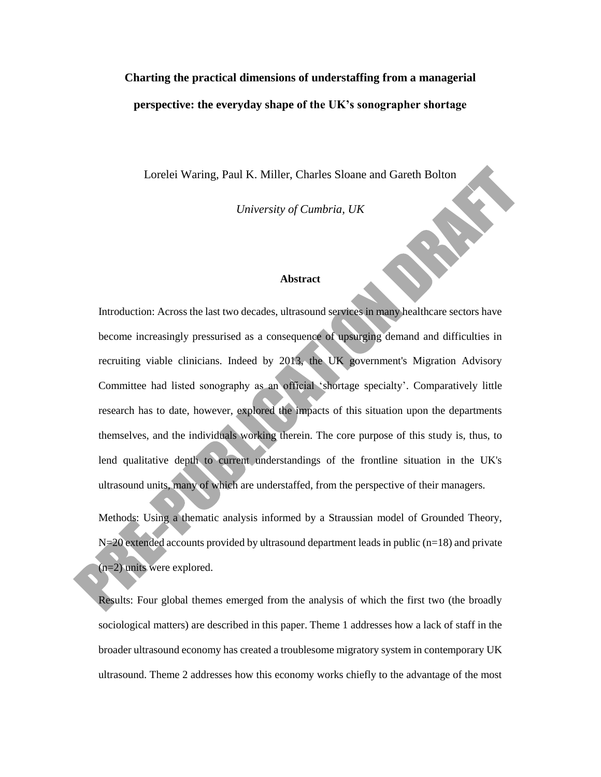# **Charting the practical dimensions of understaffing from a managerial perspective: the everyday shape of the UK's sonographer shortage**

Lorelei Waring, Paul K. Miller, Charles Sloane and Gareth Bolton

*University of Cumbria, UK*

#### **Abstract**

Introduction: Across the last two decades, ultrasound services in many healthcare sectors have become increasingly pressurised as a consequence of upsurging demand and difficulties in recruiting viable clinicians. Indeed by 2013, the UK government's Migration Advisory Committee had listed sonography as an official 'shortage specialty'. Comparatively little research has to date, however, explored the impacts of this situation upon the departments themselves, and the individuals working therein. The core purpose of this study is, thus, to lend qualitative depth to current understandings of the frontline situation in the UK's ultrasound units, many of which are understaffed, from the perspective of their managers.

Methods: Using a thematic analysis informed by a Straussian model of Grounded Theory,  $N=20$  extended accounts provided by ultrasound department leads in public (n=18) and private (n=2) units were explored.

Results: Four global themes emerged from the analysis of which the first two (the broadly sociological matters) are described in this paper. Theme 1 addresses how a lack of staff in the broader ultrasound economy has created a troublesome migratory system in contemporary UK ultrasound. Theme 2 addresses how this economy works chiefly to the advantage of the most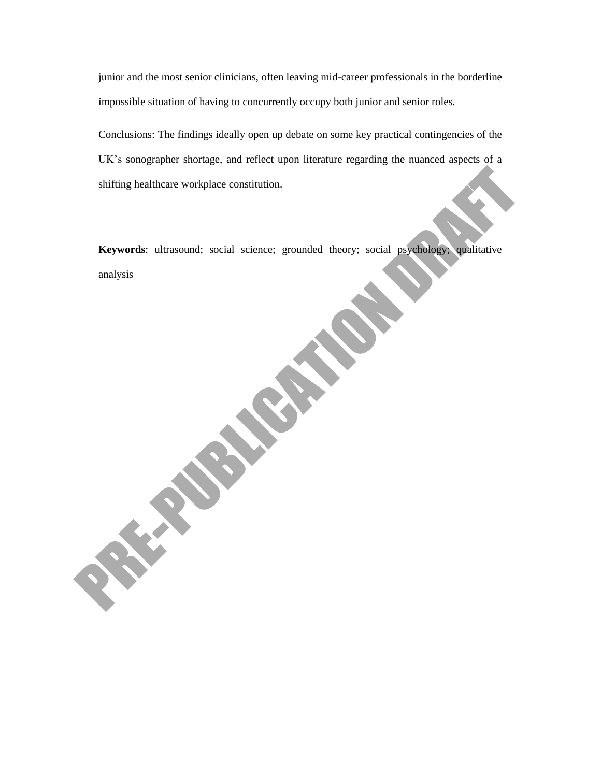junior and the most senior clinicians, often leaving mid-career professionals in the borderline impossible situation of having to concurrently occupy both junior and senior roles.

Conclusions: The findings ideally open up debate on some key practical contingencies of the UK's sonographer shortage, and reflect upon literature regarding the nuanced aspects of a shifting healthcare workplace constitution.

**Keywords**: ultrasound; social science; grounded theory; social psychology; qualitative analysis

**Children Children**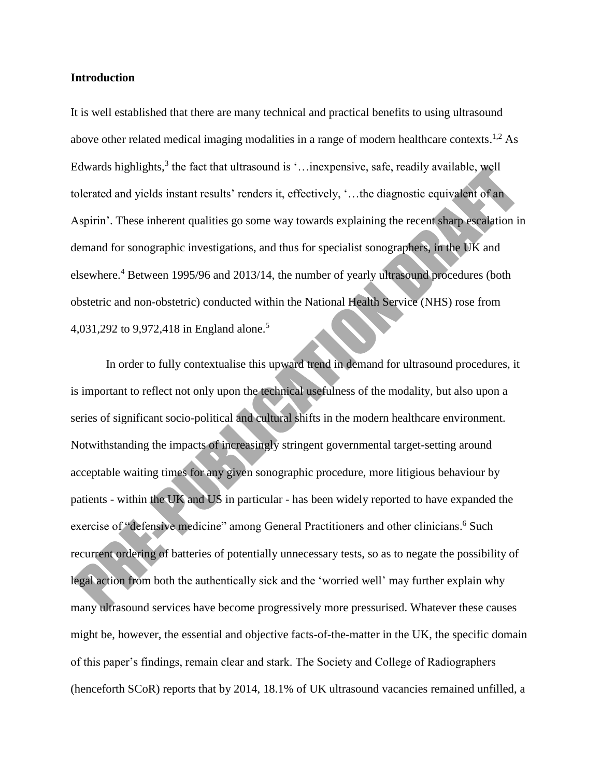#### **Introduction**

It is well established that there are many technical and practical benefits to using ultrasound above other related medical imaging modalities in a range of modern healthcare contexts.<sup>1,2</sup> As Edwards highlights,<sup>3</sup> the fact that ultrasound is '... inexpensive, safe, readily available, well tolerated and yields instant results' renders it, effectively, '…the diagnostic equivalent of an Aspirin'. These inherent qualities go some way towards explaining the recent sharp escalation in demand for sonographic investigations, and thus for specialist sonographers, in the UK and elsewhere.<sup>4</sup> Between 1995/96 and 2013/14, the number of yearly ultrasound procedures (both obstetric and non-obstetric) conducted within the National Health Service (NHS) rose from 4,031,292 to 9,972,418 in England alone. 5

In order to fully contextualise this upward trend in demand for ultrasound procedures, it is important to reflect not only upon the technical usefulness of the modality, but also upon a series of significant socio-political and cultural shifts in the modern healthcare environment. Notwithstanding the impacts of increasingly stringent governmental target-setting around acceptable waiting times for any given sonographic procedure, more litigious behaviour by patients - within the UK and US in particular - has been widely reported to have expanded the exercise of "defensive medicine" among General Practitioners and other clinicians.<sup>6</sup> Such recurrent ordering of batteries of potentially unnecessary tests, so as to negate the possibility of legal action from both the authentically sick and the 'worried well' may further explain why many ultrasound services have become progressively more pressurised. Whatever these causes might be, however, the essential and objective facts-of-the-matter in the UK, the specific domain of this paper's findings, remain clear and stark. The Society and College of Radiographers (henceforth SCoR) reports that by 2014, 18.1% of UK ultrasound vacancies remained unfilled, a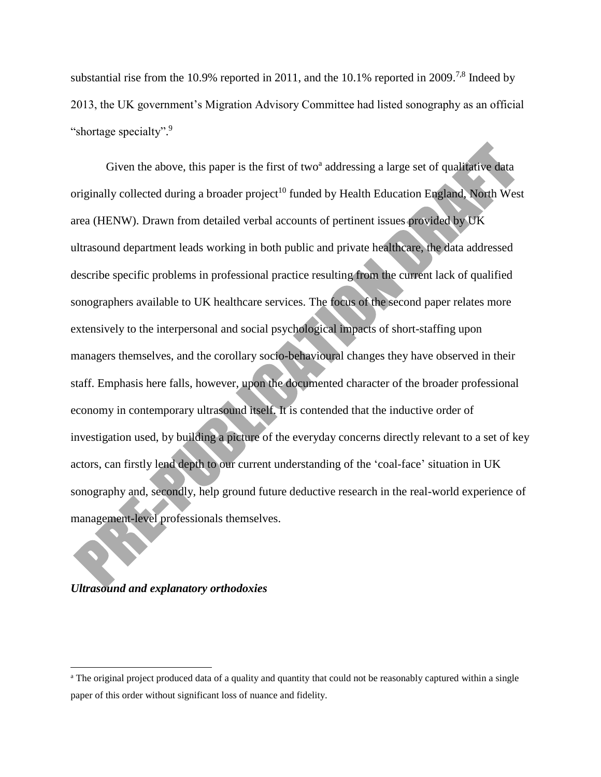substantial rise from the 10.9% reported in 2011, and the 10.1% reported in 2009.<sup>7,8</sup> Indeed by 2013, the UK government's Migration Advisory Committee had listed sonography as an official "shortage specialty".<sup>9</sup>

Given the above, this paper is the first of two<sup>a</sup> addressing a large set of qualitative data originally collected during a broader project<sup>10</sup> funded by Health Education England, North West area (HENW). Drawn from detailed verbal accounts of pertinent issues provided by UK ultrasound department leads working in both public and private healthcare, the data addressed describe specific problems in professional practice resulting from the current lack of qualified sonographers available to UK healthcare services. The focus of the second paper relates more extensively to the interpersonal and social psychological impacts of short-staffing upon managers themselves, and the corollary socio-behavioural changes they have observed in their staff. Emphasis here falls, however, upon the documented character of the broader professional economy in contemporary ultrasound itself. It is contended that the inductive order of investigation used, by building a picture of the everyday concerns directly relevant to a set of key actors, can firstly lend depth to our current understanding of the 'coal-face' situation in UK sonography and, secondly, help ground future deductive research in the real-world experience of management-level professionals themselves.

### *Ultrasound and explanatory orthodoxies*

 $\overline{\phantom{a}}$ 

<sup>&</sup>lt;sup>a</sup> The original project produced data of a quality and quantity that could not be reasonably captured within a single paper of this order without significant loss of nuance and fidelity.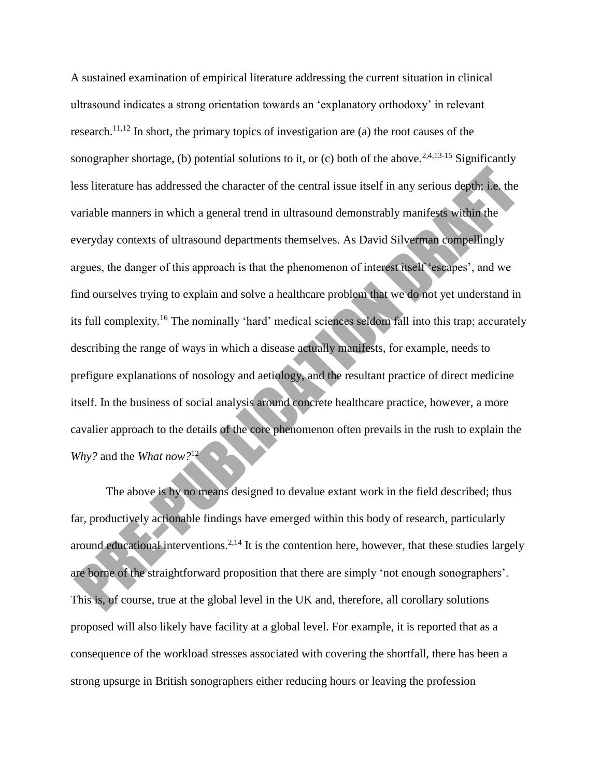A sustained examination of empirical literature addressing the current situation in clinical ultrasound indicates a strong orientation towards an 'explanatory orthodoxy' in relevant research.<sup>11,12</sup> In short, the primary topics of investigation are (a) the root causes of the sonographer shortage, (b) potential solutions to it, or (c) both of the above.<sup>2,4,13-15</sup> Significantly less literature has addressed the character of the central issue itself in any serious depth; i.e. the variable manners in which a general trend in ultrasound demonstrably manifests within the everyday contexts of ultrasound departments themselves. As David Silverman compellingly argues, the danger of this approach is that the phenomenon of interest itself 'escapes', and we find ourselves trying to explain and solve a healthcare problem that we do not yet understand in its full complexity.<sup>16</sup> The nominally 'hard' medical sciences seldom fall into this trap; accurately describing the range of ways in which a disease actually manifests, for example, needs to prefigure explanations of nosology and aetiology, and the resultant practice of direct medicine itself. In the business of social analysis around concrete healthcare practice, however, a more cavalier approach to the details of the core phenomenon often prevails in the rush to explain the *Why?* and the *What now?*<sup>12</sup>

The above is by no means designed to devalue extant work in the field described; thus far, productively actionable findings have emerged within this body of research, particularly around educational interventions.<sup>2,14</sup> It is the contention here, however, that these studies largely are borne of the straightforward proposition that there are simply 'not enough sonographers'. This is, of course, true at the global level in the UK and, therefore, all corollary solutions proposed will also likely have facility at a global level. For example, it is reported that as a consequence of the workload stresses associated with covering the shortfall, there has been a strong upsurge in British sonographers either reducing hours or leaving the profession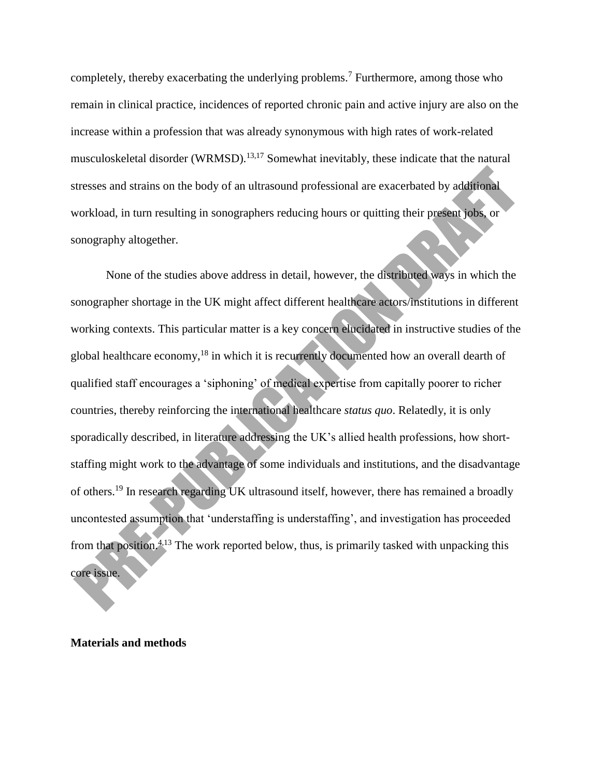completely, thereby exacerbating the underlying problems.<sup>7</sup> Furthermore, among those who remain in clinical practice, incidences of reported chronic pain and active injury are also on the increase within a profession that was already synonymous with high rates of work-related musculoskeletal disorder (WRMSD).<sup>13,17</sup> Somewhat inevitably, these indicate that the natural stresses and strains on the body of an ultrasound professional are exacerbated by additional workload, in turn resulting in sonographers reducing hours or quitting their present jobs, or sonography altogether.

None of the studies above address in detail, however, the distributed ways in which the sonographer shortage in the UK might affect different healthcare actors/institutions in different working contexts. This particular matter is a key concern elucidated in instructive studies of the global healthcare economy,<sup>18</sup> in which it is recurrently documented how an overall dearth of qualified staff encourages a 'siphoning' of medical expertise from capitally poorer to richer countries, thereby reinforcing the international healthcare *status quo*. Relatedly, it is only sporadically described, in literature addressing the UK's allied health professions, how shortstaffing might work to the advantage of some individuals and institutions, and the disadvantage of others.<sup>19</sup> In research regarding UK ultrasound itself, however, there has remained a broadly uncontested assumption that 'understaffing is understaffing', and investigation has proceeded from that position.<sup> $4,13$ </sup> The work reported below, thus, is primarily tasked with unpacking this core issue.

## **Materials and methods**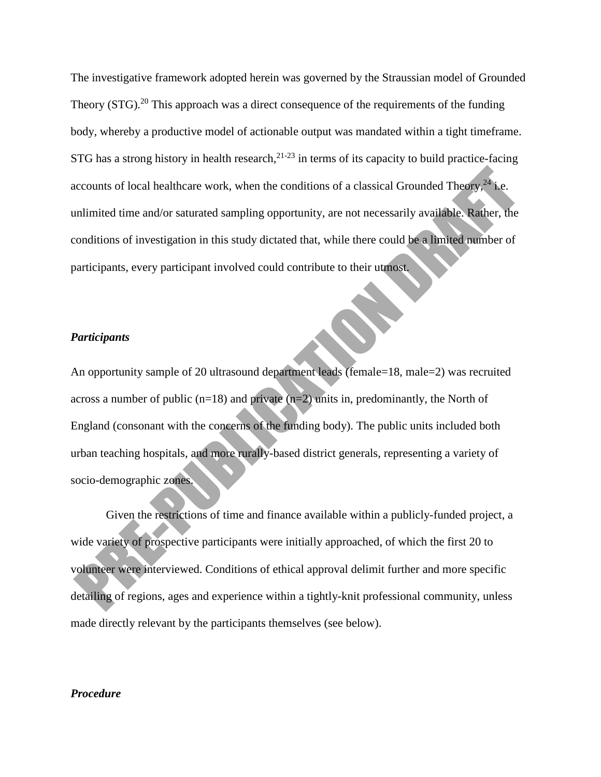The investigative framework adopted herein was governed by the Straussian model of Grounded Theory (STG).<sup>20</sup> This approach was a direct consequence of the requirements of the funding body, whereby a productive model of actionable output was mandated within a tight timeframe. STG has a strong history in health research,  $2^{1-23}$  in terms of its capacity to build practice-facing accounts of local healthcare work, when the conditions of a classical Grounded Theory,  $^{24}$  i.e. unlimited time and/or saturated sampling opportunity, are not necessarily available. Rather, the conditions of investigation in this study dictated that, while there could be a limited number of participants, every participant involved could contribute to their utmost.

#### *Participants*

An opportunity sample of 20 ultrasound department leads (female=18, male=2) was recruited across a number of public  $(n=18)$  and private  $(n=2)$  units in, predominantly, the North of England (consonant with the concerns of the funding body). The public units included both urban teaching hospitals, and more rurally-based district generals, representing a variety of socio-demographic zones.

Given the restrictions of time and finance available within a publicly-funded project, a wide variety of prospective participants were initially approached, of which the first 20 to volunteer were interviewed. Conditions of ethical approval delimit further and more specific detailing of regions, ages and experience within a tightly-knit professional community, unless made directly relevant by the participants themselves (see below).

#### *Procedure*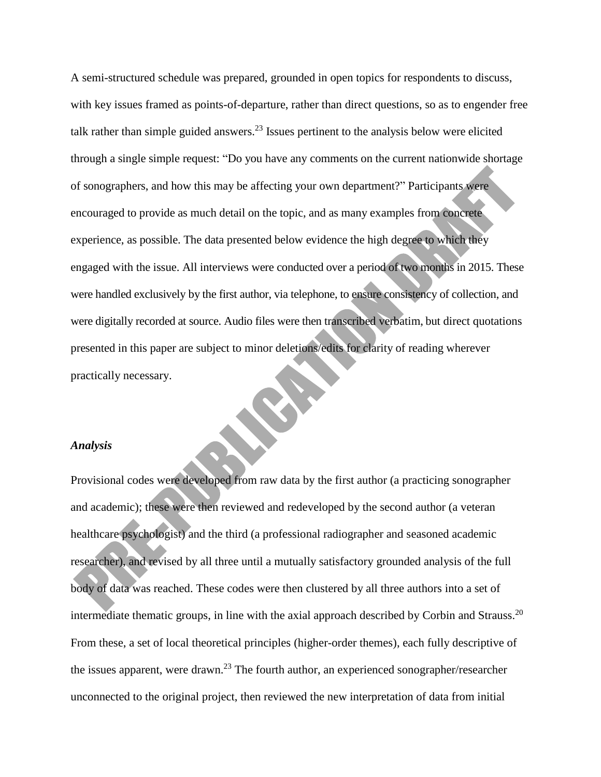A semi-structured schedule was prepared, grounded in open topics for respondents to discuss, with key issues framed as points-of-departure, rather than direct questions, so as to engender free talk rather than simple guided answers.<sup>23</sup> Issues pertinent to the analysis below were elicited through a single simple request: "Do you have any comments on the current nationwide shortage of sonographers, and how this may be affecting your own department?" Participants were encouraged to provide as much detail on the topic, and as many examples from concrete experience, as possible. The data presented below evidence the high degree to which they engaged with the issue. All interviews were conducted over a period of two months in 2015. These were handled exclusively by the first author, via telephone, to ensure consistency of collection, and were digitally recorded at source. Audio files were then transcribed verbatim, but direct quotations presented in this paper are subject to minor deletions/edits for clarity of reading wherever practically necessary.

#### *Analysis*

Provisional codes were developed from raw data by the first author (a practicing sonographer and academic); these were then reviewed and redeveloped by the second author (a veteran healthcare psychologist) and the third (a professional radiographer and seasoned academic researcher), and revised by all three until a mutually satisfactory grounded analysis of the full body of data was reached. These codes were then clustered by all three authors into a set of intermediate thematic groups, in line with the axial approach described by Corbin and Strauss.<sup>20</sup> From these, a set of local theoretical principles (higher-order themes), each fully descriptive of the issues apparent, were drawn.<sup>23</sup> The fourth author, an experienced sonographer/researcher unconnected to the original project, then reviewed the new interpretation of data from initial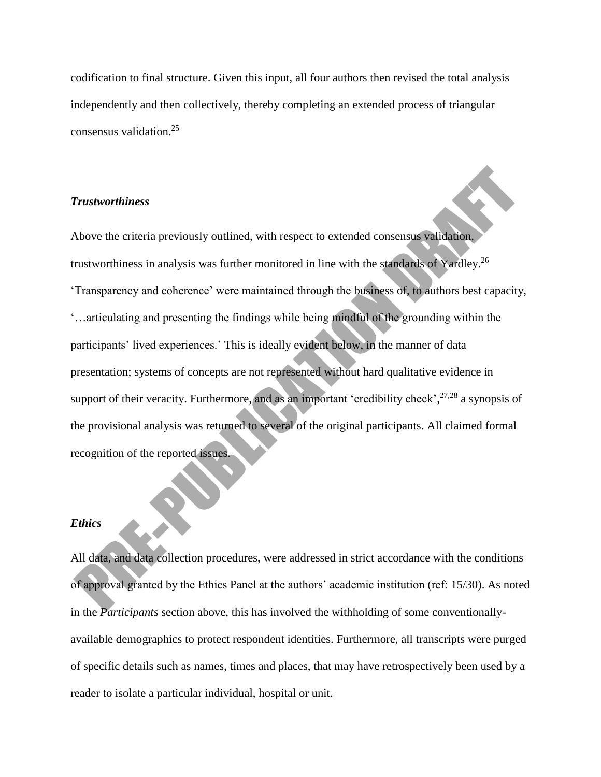codification to final structure. Given this input, all four authors then revised the total analysis independently and then collectively, thereby completing an extended process of triangular consensus validation.<sup>25</sup>

## *Trustworthiness*

Above the criteria previously outlined, with respect to extended consensus validation, trustworthiness in analysis was further monitored in line with the standards of Yardley.<sup>26</sup> 'Transparency and coherence' were maintained through the business of, to authors best capacity, '…articulating and presenting the findings while being mindful of the grounding within the participants' lived experiences.' This is ideally evident below, in the manner of data presentation; systems of concepts are not represented without hard qualitative evidence in support of their veracity. Furthermore, and as an important 'credibility check',<sup>27,28</sup> a synopsis of the provisional analysis was returned to several of the original participants. All claimed formal recognition of the reported issues.

#### *Ethics*

All data, and data collection procedures, were addressed in strict accordance with the conditions of approval granted by the Ethics Panel at the authors' academic institution (ref: 15/30). As noted in the *Participants* section above, this has involved the withholding of some conventionallyavailable demographics to protect respondent identities. Furthermore, all transcripts were purged of specific details such as names, times and places, that may have retrospectively been used by a reader to isolate a particular individual, hospital or unit.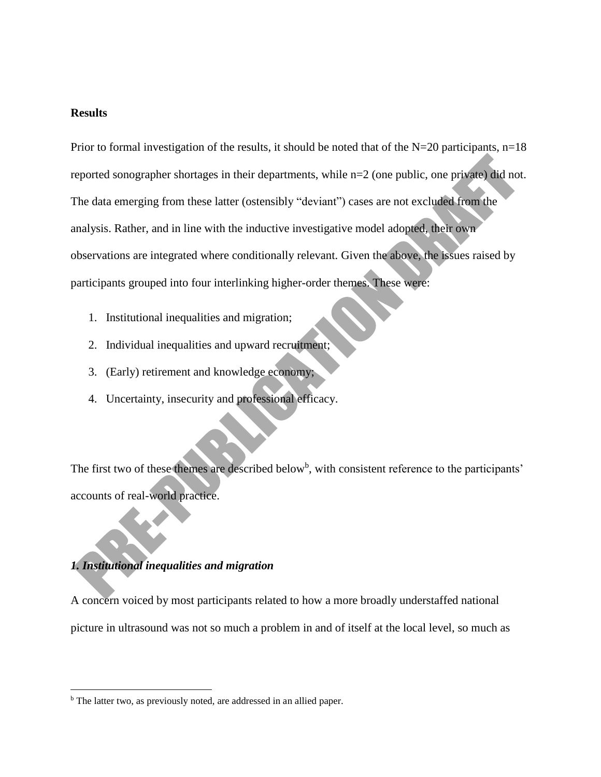#### **Results**

Prior to formal investigation of the results, it should be noted that of the  $N=20$  participants,  $n=18$ reported sonographer shortages in their departments, while n=2 (one public, one private) did not. The data emerging from these latter (ostensibly "deviant") cases are not excluded from the analysis. Rather, and in line with the inductive investigative model adopted, their own observations are integrated where conditionally relevant. Given the above, the issues raised by participants grouped into four interlinking higher-order themes. These were:

- 1. Institutional inequalities and migration;
- 2. Individual inequalities and upward recruitment;
- 3. (Early) retirement and knowledge economy;
- 4. Uncertainty, insecurity and professional efficacy.

The first two of these themes are described below<sup>b</sup>, with consistent reference to the participants' accounts of real-world practice.

## *1. Institutional inequalities and migration*

 $\overline{\phantom{a}}$ 

A concern voiced by most participants related to how a more broadly understaffed national picture in ultrasound was not so much a problem in and of itself at the local level, so much as

b The latter two, as previously noted, are addressed in an allied paper.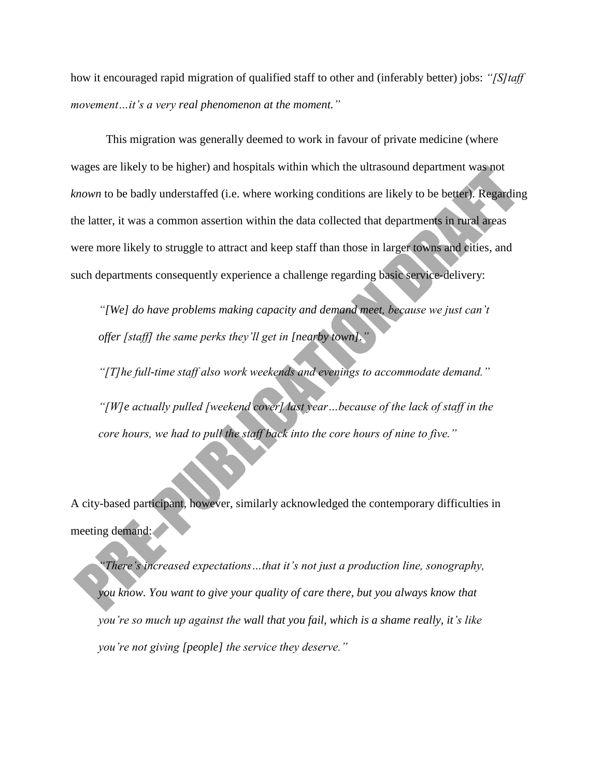how it encouraged rapid migration of qualified staff to other and (inferably better) jobs: *"[S]taff movement…it's a very real phenomenon at the moment."*

This migration was generally deemed to work in favour of private medicine (where wages are likely to be higher) and hospitals within which the ultrasound department was not *known* to be badly understaffed (i.e. where working conditions are likely to be better). Regarding the latter, it was a common assertion within the data collected that departments in rural areas were more likely to struggle to attract and keep staff than those in larger towns and cities, and such departments consequently experience a challenge regarding basic service-delivery:

*"[We] do have problems making capacity and demand meet, because we just can't offer [staff] the same perks they'll get in [nearby town]."*

*"[T]he full-time staff also work weekends and evenings to accommodate demand." "[W]e actually pulled [weekend cover] last year…because of the lack of staff in the core hours, we had to pull the staff back into the core hours of nine to five."*

A city-based participant, however, similarly acknowledged the contemporary difficulties in meeting demand:

*"There's increased expectations…that it's not just a production line, sonography, you know. You want to give your quality of care there, but you always know that you're so much up against the wall that you fail, which is a shame really, it's like you're not giving [people] the service they deserve."*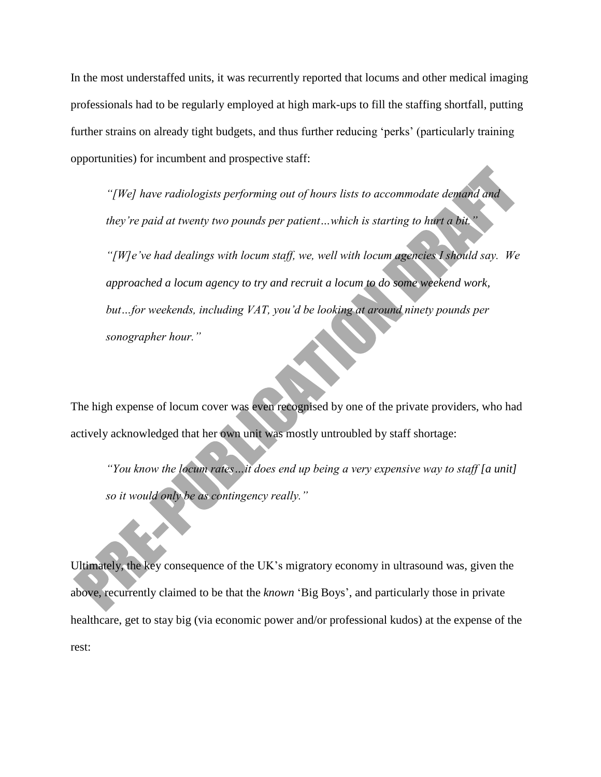In the most understaffed units, it was recurrently reported that locums and other medical imaging professionals had to be regularly employed at high mark-ups to fill the staffing shortfall, putting further strains on already tight budgets, and thus further reducing 'perks' (particularly training opportunities) for incumbent and prospective staff:

*"[We] have radiologists performing out of hours lists to accommodate demand and they're paid at twenty two pounds per patient…which is starting to hurt a bit."*

*"[W]e've had dealings with locum staff, we, well with locum agencies I should say. We approached a locum agency to try and recruit a locum to do some weekend work, but…for weekends, including VAT, you'd be looking at around ninety pounds per sonographer hour."*

The high expense of locum cover was even recognised by one of the private providers, who had actively acknowledged that her own unit was mostly untroubled by staff shortage:

*"You know the locum rates…it does end up being a very expensive way to staff [a unit] so it would only be as contingency really."*

Ultimately, the key consequence of the UK's migratory economy in ultrasound was, given the above, recurrently claimed to be that the *known* 'Big Boys', and particularly those in private healthcare, get to stay big (via economic power and/or professional kudos) at the expense of the rest: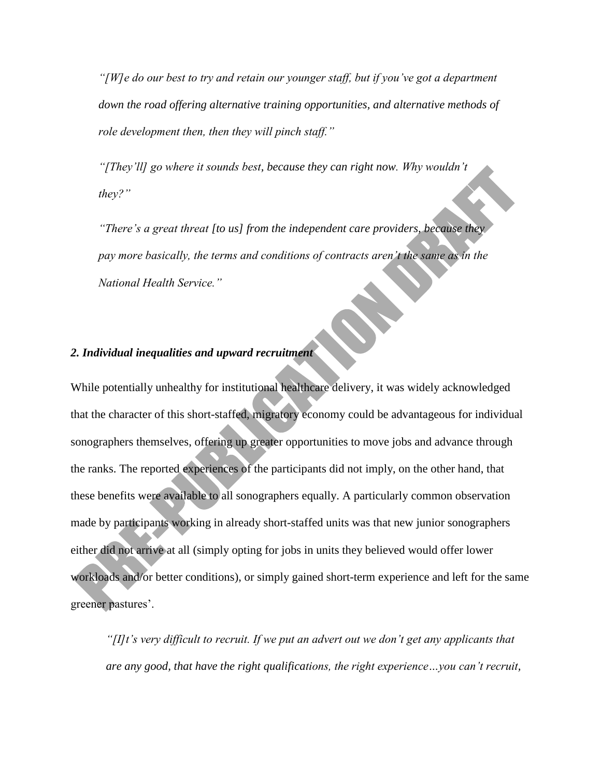*"[W]e do our best to try and retain our younger staff, but if you've got a department down the road offering alternative training opportunities, and alternative methods of role development then, then they will pinch staff."*

*"[They'll] go where it sounds best, because they can right now. Why wouldn't they?"*

*"There's a great threat [to us] from the independent care providers, because they pay more basically, the terms and conditions of contracts aren't the same as in the National Health Service."*

## *2. Individual inequalities and upward recruitment*

While potentially unhealthy for institutional healthcare delivery, it was widely acknowledged that the character of this short-staffed, migratory economy could be advantageous for individual sonographers themselves, offering up greater opportunities to move jobs and advance through the ranks. The reported experiences of the participants did not imply, on the other hand, that these benefits were available to all sonographers equally. A particularly common observation made by participants working in already short-staffed units was that new junior sonographers either did not arrive at all (simply opting for jobs in units they believed would offer lower workloads and/or better conditions), or simply gained short-term experience and left for the same greener pastures'.

*"[I]t's very difficult to recruit. If we put an advert out we don't get any applicants that are any good, that have the right qualifications, the right experience…you can't recruit,*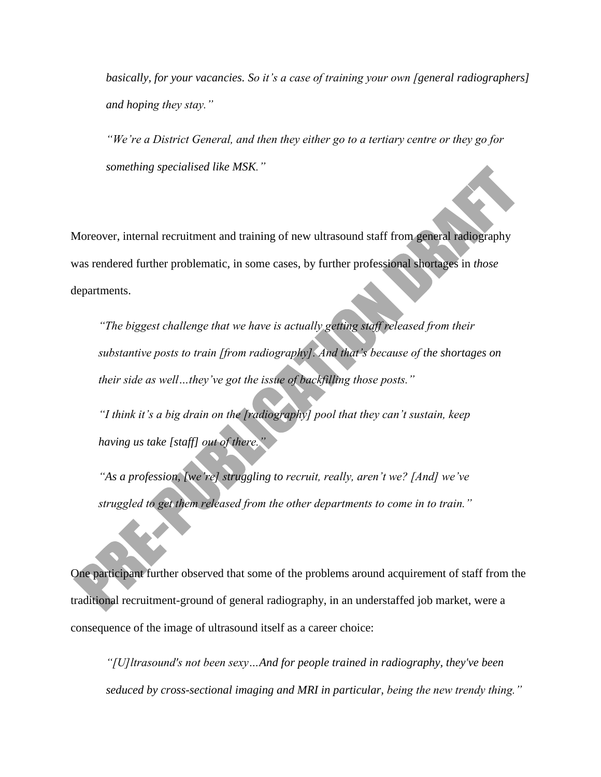*basically, for your vacancies. So it's a case of training your own [general radiographers] and hoping they stay."*

*"We're a District General, and then they either go to a tertiary centre or they go for something specialised like MSK."* 

Moreover, internal recruitment and training of new ultrasound staff from general radiography was rendered further problematic, in some cases, by further professional shortages in *those* departments.

*"The biggest challenge that we have is actually getting staff released from their substantive posts to train [from radiography]. And that's because of the shortages on their side as well…they've got the issue of backfilling those posts."*

*"I think it's a big drain on the [radiography] pool that they can't sustain, keep having us take [staff] out of there.* 

*"As a profession, [we're] struggling to recruit, really, aren't we? [And] we've struggled to get them released from the other departments to come in to train."*

One participant further observed that some of the problems around acquirement of staff from the traditional recruitment-ground of general radiography, in an understaffed job market, were a consequence of the image of ultrasound itself as a career choice:

*"[U]ltrasound's not been sexy…And for people trained in radiography, they've been seduced by cross-sectional imaging and MRI in particular, being the new trendy thing."*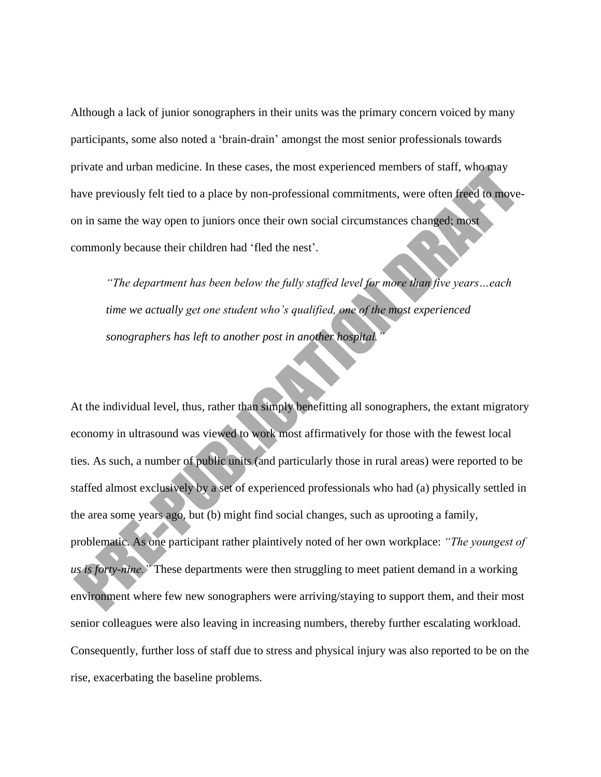Although a lack of junior sonographers in their units was the primary concern voiced by many participants, some also noted a 'brain-drain' amongst the most senior professionals towards private and urban medicine. In these cases, the most experienced members of staff, who may have previously felt tied to a place by non-professional commitments, were often freed to moveon in same the way open to juniors once their own social circumstances changed; most commonly because their children had 'fled the nest'.

*"The department has been below the fully staffed level for more than five years…each time we actually get one student who's qualified, one of the most experienced sonographers has left to another post in another hospital.* 

At the individual level, thus, rather than simply benefitting all sonographers, the extant migratory economy in ultrasound was viewed to work most affirmatively for those with the fewest local ties. As such, a number of public units (and particularly those in rural areas) were reported to be staffed almost exclusively by a set of experienced professionals who had (a) physically settled in the area some years ago, but (b) might find social changes, such as uprooting a family, problematic. As one participant rather plaintively noted of her own workplace: *"The youngest of us is forty-nine."* These departments were then struggling to meet patient demand in a working environment where few new sonographers were arriving/staying to support them, and their most senior colleagues were also leaving in increasing numbers, thereby further escalating workload. Consequently, further loss of staff due to stress and physical injury was also reported to be on the rise, exacerbating the baseline problems.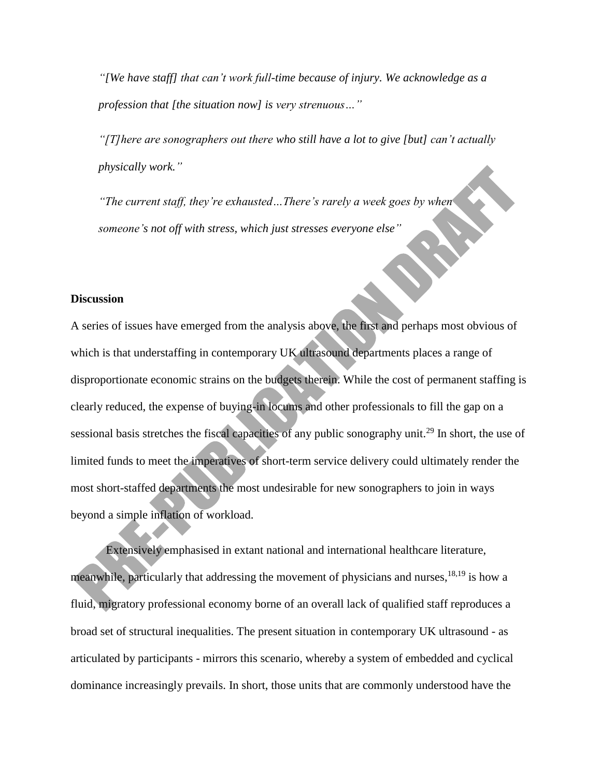*"[We have staff] that can't work full-time because of injury. We acknowledge as a profession that [the situation now] is very strenuous…"*

*"[T]here are sonographers out there who still have a lot to give [but] can't actually physically work."*

*"The current staff, they're exhausted…There's rarely a week goes by when someone's not off with stress, which just stresses everyone else"*

## **Discussion**

A series of issues have emerged from the analysis above, the first and perhaps most obvious of which is that understaffing in contemporary UK ultrasound departments places a range of disproportionate economic strains on the budgets therein. While the cost of permanent staffing is clearly reduced, the expense of buying-in locums and other professionals to fill the gap on a sessional basis stretches the fiscal capacities of any public sonography unit.<sup>29</sup> In short, the use of limited funds to meet the imperatives of short-term service delivery could ultimately render the most short-staffed departments the most undesirable for new sonographers to join in ways beyond a simple inflation of workload.

Extensively emphasised in extant national and international healthcare literature, meanwhile, particularly that addressing the movement of physicians and nurses,  $^{18,19}$  is how a fluid, migratory professional economy borne of an overall lack of qualified staff reproduces a broad set of structural inequalities. The present situation in contemporary UK ultrasound - as articulated by participants - mirrors this scenario, whereby a system of embedded and cyclical dominance increasingly prevails. In short, those units that are commonly understood have the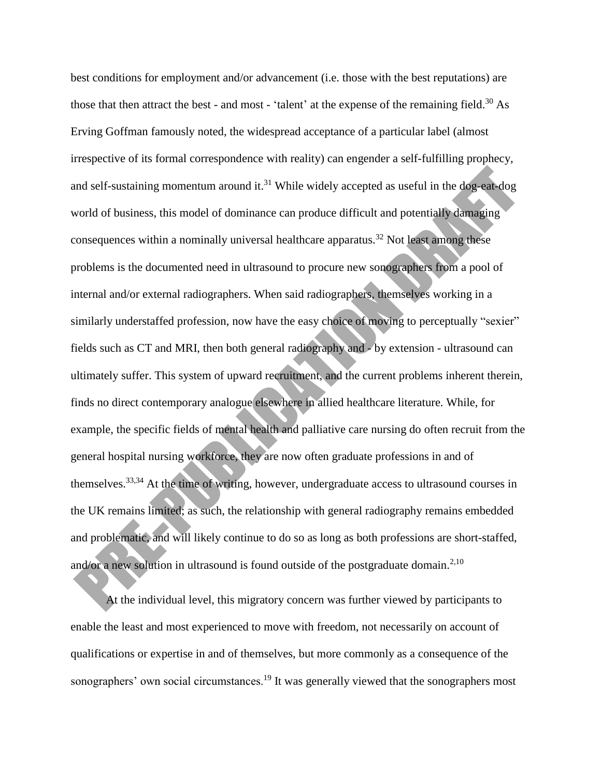best conditions for employment and/or advancement (i.e. those with the best reputations) are those that then attract the best - and most - 'talent' at the expense of the remaining field.<sup>30</sup> As Erving Goffman famously noted, the widespread acceptance of a particular label (almost irrespective of its formal correspondence with reality) can engender a self-fulfilling prophecy, and self-sustaining momentum around it.<sup>31</sup> While widely accepted as useful in the dog-eat-dog world of business, this model of dominance can produce difficult and potentially damaging consequences within a nominally universal healthcare apparatus.<sup>32</sup> Not least among these problems is the documented need in ultrasound to procure new sonographers from a pool of internal and/or external radiographers. When said radiographers, themselves working in a similarly understaffed profession, now have the easy choice of moving to perceptually "sexier" fields such as CT and MRI, then both general radiography and - by extension - ultrasound can ultimately suffer. This system of upward recruitment, and the current problems inherent therein, finds no direct contemporary analogue elsewhere in allied healthcare literature. While, for example, the specific fields of mental health and palliative care nursing do often recruit from the general hospital nursing workforce, they are now often graduate professions in and of themselves.33,34 At the time of writing, however, undergraduate access to ultrasound courses in the UK remains limited; as such, the relationship with general radiography remains embedded and problematic, and will likely continue to do so as long as both professions are short-staffed, and/or a new solution in ultrasound is found outside of the postgraduate domain.<sup>2,10</sup>

At the individual level, this migratory concern was further viewed by participants to enable the least and most experienced to move with freedom, not necessarily on account of qualifications or expertise in and of themselves, but more commonly as a consequence of the sonographers' own social circumstances.<sup>19</sup> It was generally viewed that the sonographers most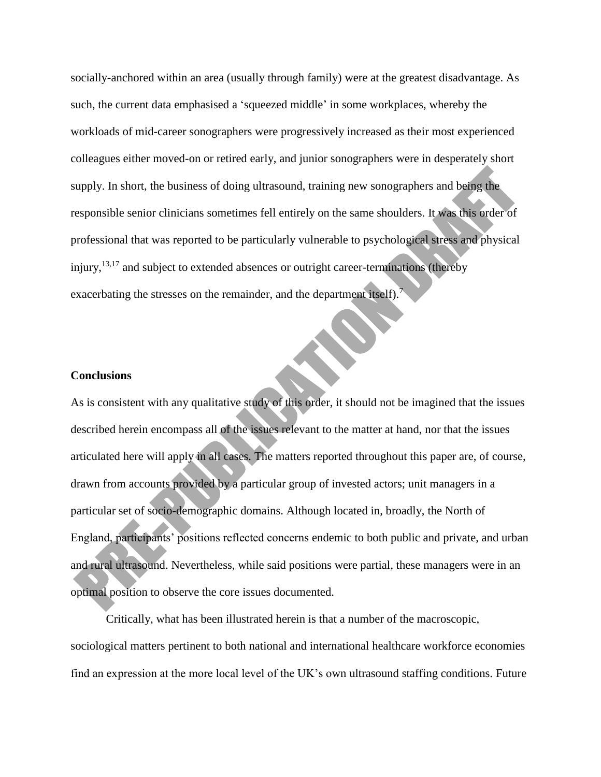socially-anchored within an area (usually through family) were at the greatest disadvantage. As such, the current data emphasised a 'squeezed middle' in some workplaces, whereby the workloads of mid-career sonographers were progressively increased as their most experienced colleagues either moved-on or retired early, and junior sonographers were in desperately short supply. In short, the business of doing ultrasound, training new sonographers and being the responsible senior clinicians sometimes fell entirely on the same shoulders. It was this order of professional that was reported to be particularly vulnerable to psychological stress and physical injury,<sup>13,17</sup> and subject to extended absences or outright career-terminations (thereby exacerbating the stresses on the remainder, and the department itself).<sup>7</sup>

#### **Conclusions**

As is consistent with any qualitative study of this order, it should not be imagined that the issues described herein encompass all of the issues relevant to the matter at hand, nor that the issues articulated here will apply in all cases. The matters reported throughout this paper are, of course, drawn from accounts provided by a particular group of invested actors; unit managers in a particular set of socio-demographic domains. Although located in, broadly, the North of England, participants' positions reflected concerns endemic to both public and private, and urban and rural ultrasound. Nevertheless, while said positions were partial, these managers were in an optimal position to observe the core issues documented.

Critically, what has been illustrated herein is that a number of the macroscopic, sociological matters pertinent to both national and international healthcare workforce economies find an expression at the more local level of the UK's own ultrasound staffing conditions. Future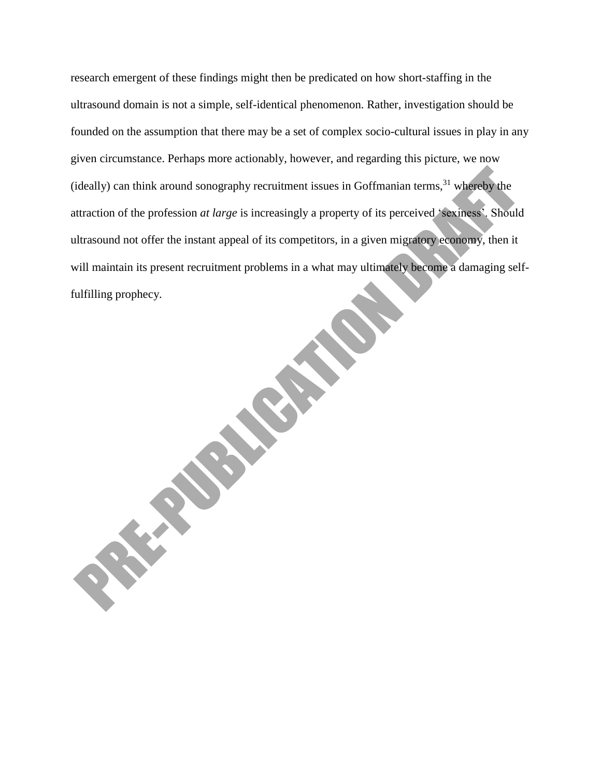research emergent of these findings might then be predicated on how short-staffing in the ultrasound domain is not a simple, self-identical phenomenon. Rather, investigation should be founded on the assumption that there may be a set of complex socio-cultural issues in play in any given circumstance. Perhaps more actionably, however, and regarding this picture, we now (ideally) can think around sonography recruitment issues in Goffmanian terms,  $31$  whereby the attraction of the profession *at large* is increasingly a property of its perceived 'sexiness'. Should ultrasound not offer the instant appeal of its competitors, in a given migratory economy, then it will maintain its present recruitment problems in a what may ultimately become a damaging selffulfilling prophecy.

**HARRY READY**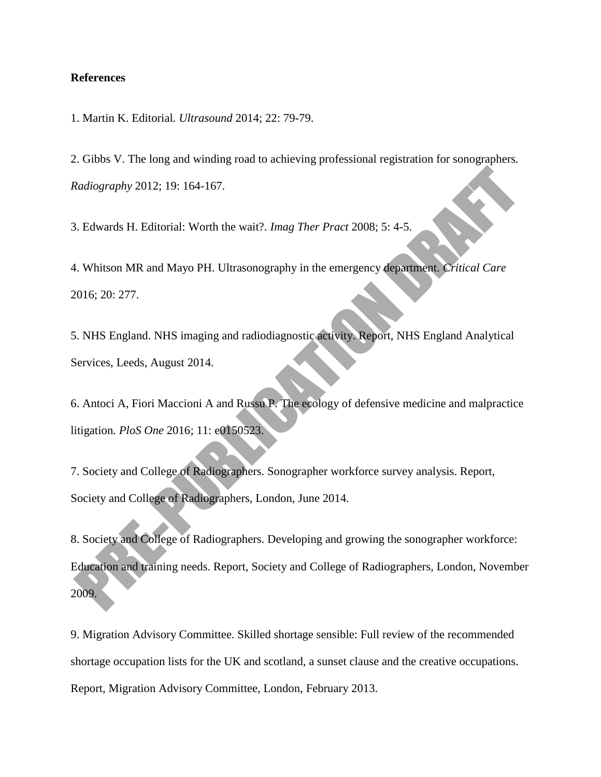## **References**

1. Martin K. Editorial*. Ultrasound* 2014; 22: 79-79.

2. Gibbs V. The long and winding road to achieving professional registration for sonographers*. Radiography* 2012; 19: 164-167.

3. Edwards H. Editorial: Worth the wait?*. Imag Ther Pract* 2008; 5: 4-5.

4. Whitson MR and Mayo PH. Ultrasonography in the emergency department*. Critical Care* 2016; 20: 277.

5. NHS England. NHS imaging and radiodiagnostic activity. Report, NHS England Analytical Services, Leeds, August 2014.

6. Antoci A, Fiori Maccioni A and Russu P. The ecology of defensive medicine and malpractice litigation*. PloS One* 2016; 11: e0150523.

7. Society and College of Radiographers. Sonographer workforce survey analysis. Report, Society and College of Radiographers, London, June 2014.

8. Society and College of Radiographers. Developing and growing the sonographer workforce: Education and training needs. Report, Society and College of Radiographers, London, November 2009.

9. Migration Advisory Committee. Skilled shortage sensible: Full review of the recommended shortage occupation lists for the UK and scotland, a sunset clause and the creative occupations. Report, Migration Advisory Committee, London, February 2013.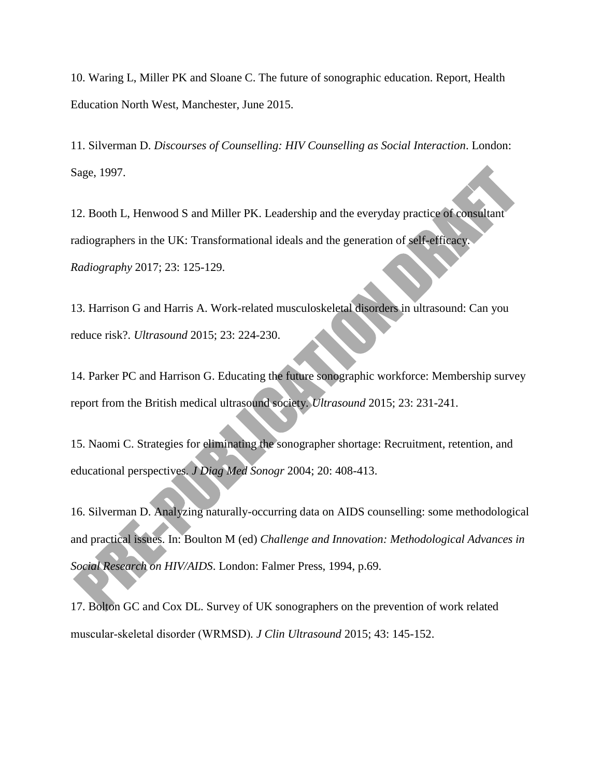10. Waring L, Miller PK and Sloane C. The future of sonographic education. Report, Health Education North West, Manchester, June 2015.

11. Silverman D. *Discourses of Counselling: HIV Counselling as Social Interaction*. London: Sage, 1997.

12. Booth L, Henwood S and Miller PK. Leadership and the everyday practice of consultant radiographers in the UK: Transformational ideals and the generation of self-efficacy*. Radiography* 2017; 23: 125-129.

13. Harrison G and Harris A. Work-related musculoskeletal disorders in ultrasound: Can you reduce risk?*. Ultrasound* 2015; 23: 224-230.

14. Parker PC and Harrison G. Educating the future sonographic workforce: Membership survey report from the British medical ultrasound society*. Ultrasound* 2015; 23: 231-241.

15. Naomi C. Strategies for eliminating the sonographer shortage: Recruitment, retention, and educational perspectives*. J Diag Med Sonogr* 2004; 20: 408-413.

16. Silverman D. Analyzing naturally-occurring data on AIDS counselling: some methodological and practical issues. In: Boulton M (ed) *Challenge and Innovation: Methodological Advances in Social Research on HIV/AIDS*. London: Falmer Press, 1994, p.69.

17. Bolton GC and Cox DL. Survey of UK sonographers on the prevention of work related muscular‐skeletal disorder (WRMSD)*. J Clin Ultrasound* 2015; 43: 145-152.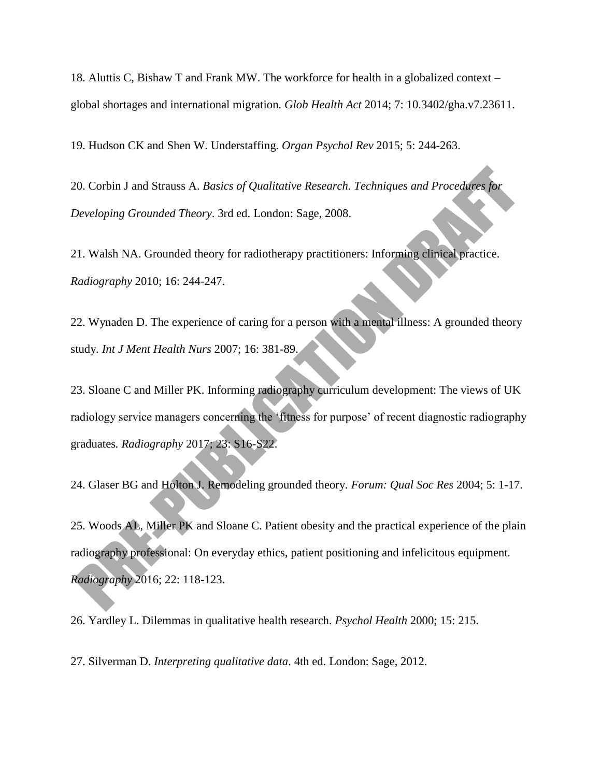18. Aluttis C, Bishaw T and Frank MW. The workforce for health in a globalized context – global shortages and international migration*. Glob Health Act* 2014; 7: 10.3402/gha.v7.23611.

19. Hudson CK and Shen W. Understaffing*. Organ Psychol Rev* 2015; 5: 244-263.

20. Corbin J and Strauss A. *Basics of Qualitative Research. Techniques and Procedures for Developing Grounded Theory*. 3rd ed. London: Sage, 2008.

21. Walsh NA. Grounded theory for radiotherapy practitioners: Informing clinical practice*. Radiography* 2010; 16: 244-247.

22. Wynaden D. The experience of caring for a person with a mental illness: A grounded theory study*. Int J Ment Health Nurs* 2007; 16: 381-89.

23. Sloane C and Miller PK. Informing radiography curriculum development: The views of UK radiology service managers concerning the 'fitness for purpose' of recent diagnostic radiography graduates*. Radiography* 2017; 23: S16-S22.

24. Glaser BG and Holton J. Remodeling grounded theory*. Forum: Qual Soc Res* 2004; 5: 1-17.

25. Woods AL, Miller PK and Sloane C. Patient obesity and the practical experience of the plain radiography professional: On everyday ethics, patient positioning and infelicitous equipment*. Radiography* 2016; 22: 118-123.

26. Yardley L. Dilemmas in qualitative health research*. Psychol Health* 2000; 15: 215.

27. Silverman D. *Interpreting qualitative data*. 4th ed. London: Sage, 2012.